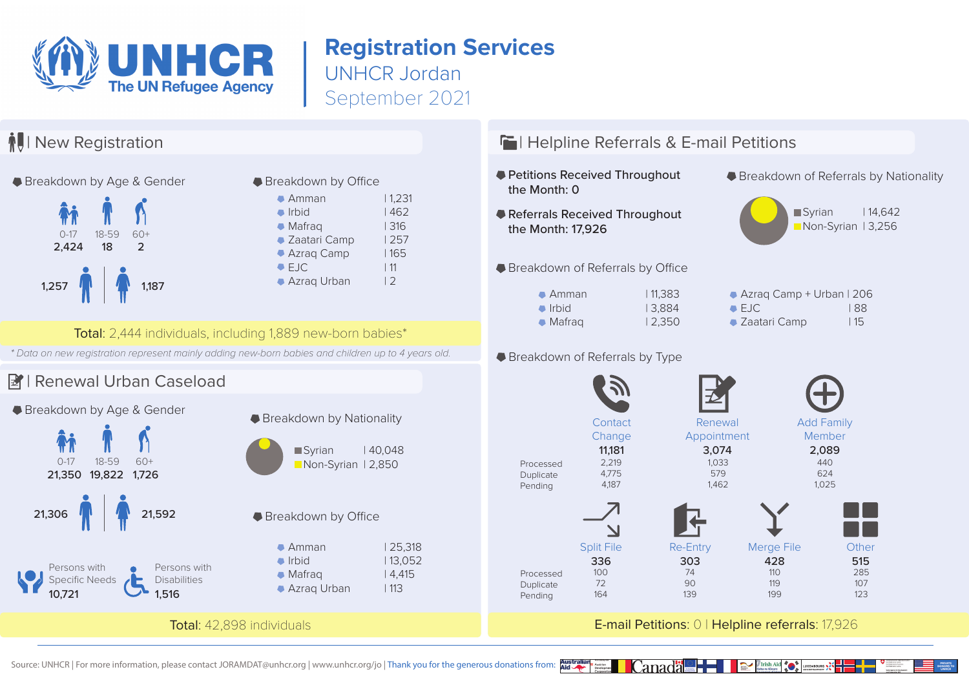

## **Registration Services** UNHCR Jordan

September 2021



Source: UNHCR | For more information, please contact JORAMDAT@unhcr.org | www.unhcr.org/jo | Thank you for the generous donations from: **Aid**